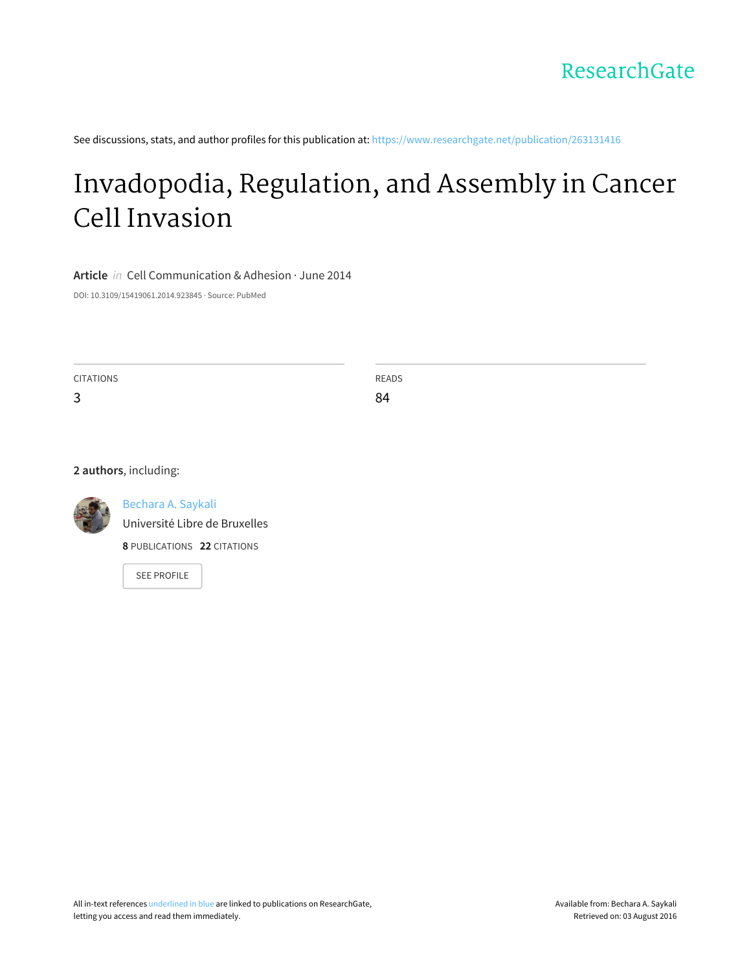See discussions, stats, and author profiles for this publication at: [https://www.researchgate.net/publication/263131416](https://www.researchgate.net/publication/263131416_Invadopodia_Regulation_and_Assembly_in_Cancer_Cell_Invasion?enrichId=rgreq-ce049a8f0deb0c808c626b186b6864c0-XXX&enrichSource=Y292ZXJQYWdlOzI2MzEzMTQxNjtBUzoyMTY2MTA3NTAxMTE3NDRAMTQyODY1NTQzNTEyNA%3D%3D&el=1_x_2)

# [Invadopodia,](https://www.researchgate.net/publication/263131416_Invadopodia_Regulation_and_Assembly_in_Cancer_Cell_Invasion?enrichId=rgreq-ce049a8f0deb0c808c626b186b6864c0-XXX&enrichSource=Y292ZXJQYWdlOzI2MzEzMTQxNjtBUzoyMTY2MTA3NTAxMTE3NDRAMTQyODY1NTQzNTEyNA%3D%3D&el=1_x_3) Regulation, and Assembly in Cancer Cell Invasion

**Article** in Cell Communication & Adhesion · June 2014

DOI: 10.3109/15419061.2014.923845 · Source: PubMed

CITATIONS 3 READS 84

**2 authors**, including:



[Bechara](https://www.researchgate.net/profile/Bechara_Saykali?enrichId=rgreq-ce049a8f0deb0c808c626b186b6864c0-XXX&enrichSource=Y292ZXJQYWdlOzI2MzEzMTQxNjtBUzoyMTY2MTA3NTAxMTE3NDRAMTQyODY1NTQzNTEyNA%3D%3D&el=1_x_5) A. Saykali

[Université](https://www.researchgate.net/institution/Universite_Libre_de_Bruxelles?enrichId=rgreq-ce049a8f0deb0c808c626b186b6864c0-XXX&enrichSource=Y292ZXJQYWdlOzI2MzEzMTQxNjtBUzoyMTY2MTA3NTAxMTE3NDRAMTQyODY1NTQzNTEyNA%3D%3D&el=1_x_6) Libre de Bruxelles

**8** PUBLICATIONS **22** CITATIONS

SEE [PROFILE](https://www.researchgate.net/profile/Bechara_Saykali?enrichId=rgreq-ce049a8f0deb0c808c626b186b6864c0-XXX&enrichSource=Y292ZXJQYWdlOzI2MzEzMTQxNjtBUzoyMTY2MTA3NTAxMTE3NDRAMTQyODY1NTQzNTEyNA%3D%3D&el=1_x_7)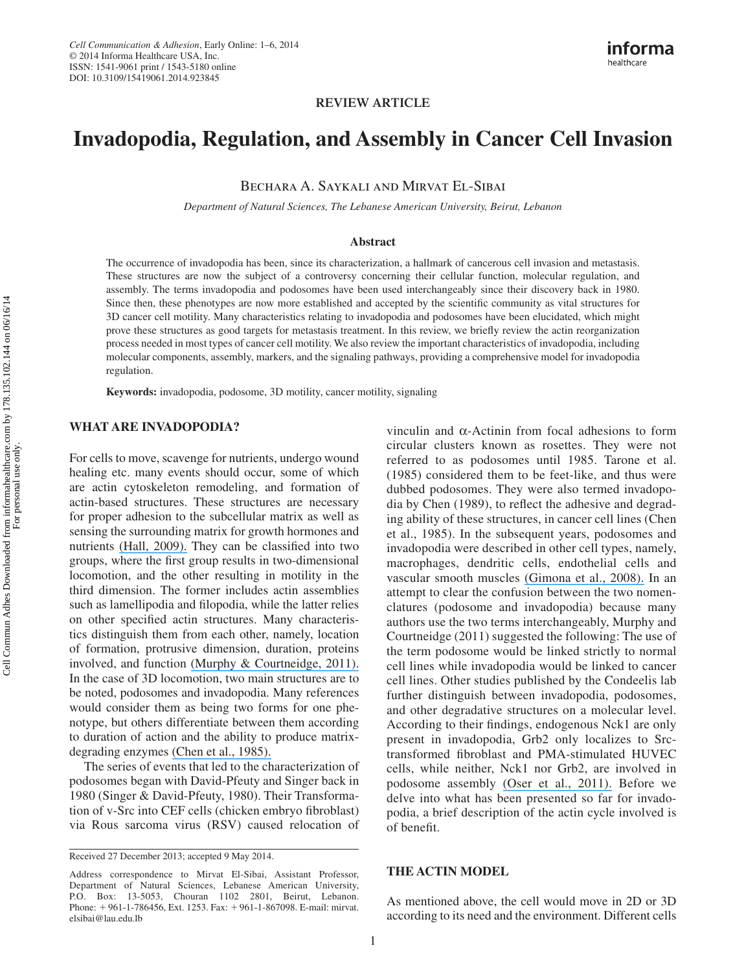# **REVIEW ARTICLE**

# **Invadopodia, Regulation, and Assembly in Cancer Cell Invasion**

Bechara A. Saykali and Mirvat El-Sibai

 *Department of Natural Sciences, The Lebanese American University, Beirut, Lebanon* 

#### **Abstract**

 The occurrence of invadopodia has been, since its characterization, a hallmark of cancerous cell invasion and metastasis. These structures are now the subject of a controversy concerning their cellular function, molecular regulation, and assembly. The terms invadopodia and podosomes have been used interchangeably since their discovery back in 1980. Since then, these phenotypes are now more established and accepted by the scientific community as vital structures for 3D cancer cell motility. Many characteristics relating to invadopodia and podosomes have been elucidated, which might prove these structures as good targets for metastasis treatment. In this review, we briefly review the actin reorganization process needed in most types of cancer cell motility. We also review the important characteristics of invadopodia, including molecular components, assembly, markers, and the signaling pathways, providing a comprehensive model for invadopodia regulation.

**Keywords:** invadopodia, podosome, 3D motility, cancer motility, signaling

## **WHAT ARE INVADOPODIA?**

 For cells to move, scavenge for nutrients, undergo wound healing etc. many events should occur, some of which are actin cytoskeleton remodeling, and formation of actin-based structures. These structures are necessary for proper adhesion to the subcellular matrix as well as sensing the surrounding matrix for growth hormones and nutrients [\(Hall, 2009\).](https://www.researchgate.net/publication/23801329_Hall_A_The_cytoskeleton_and_cancer_Cancer_Metastasis_Rev_28_5-14?el=1_x_8&enrichId=rgreq-ce049a8f0deb0c808c626b186b6864c0-XXX&enrichSource=Y292ZXJQYWdlOzI2MzEzMTQxNjtBUzoyMTY2MTA3NTAxMTE3NDRAMTQyODY1NTQzNTEyNA==) They can be classified into two groups, where the first group results in two-dimensional locomotion, and the other resulting in motility in the third dimension. The former includes actin assemblies such as lamellipodia and filopodia, while the latter relies on other specified actin structures. Many characteristics distinguish them from each other, namely, location of formation, protrusive dimension, duration, proteins involved, and function [\(Murphy & Courtneidge, 2011\).](https://www.researchgate.net/publication/51242902_Murphy_DA_Courtneidge_SAThe_) In the case of 3D locomotion, two main structures are to be noted, podosomes and invadopodia. Many references would consider them as being two forms for one phenotype, but others differentiate between them according to duration of action and the ability to produce matrixdegrading enzymes [\(Chen et al., 1985\).](https://www.researchgate.net/publication/20165989_Local_degradation_of_fibronectin_at_sites_of_expression_of_the_transforming_gene_product_pp60src?el=1_x_8&enrichId=rgreq-ce049a8f0deb0c808c626b186b6864c0-XXX&enrichSource=Y292ZXJQYWdlOzI2MzEzMTQxNjtBUzoyMTY2MTA3NTAxMTE3NDRAMTQyODY1NTQzNTEyNA==) 

 The series of events that led to the characterization of podosomes began with David-Pfeuty and Singer back in 1980 (Singer & David-Pfeuty, 1980). Their Transformation of v-Src into CEF cells (chicken embryo fibroblast) via Rous sarcoma virus (RSV) caused relocation of

vinculin and α-Actinin from focal adhesions to form circular clusters known as rosettes. They were not referred to as podosomes until 1985. Tarone et al. (1985) considered them to be feet-like, and thus were dubbed podosomes. They were also termed invadopodia by Chen (1989), to reflect the adhesive and degrading ability of these structures, in cancer cell lines (Chen et al., 1985). In the subsequent years, podosomes and invadopodia were described in other cell types, namely, macrophages, dendritic cells, endothelial cells and vascular smooth muscles [\(Gimona et al., 2008\).](https://www.researchgate.net/publication/5515403_Assembly_and_biological_role_of_podosomes_and_invadopodia?el=1_x_8&enrichId=rgreq-ce049a8f0deb0c808c626b186b6864c0-XXX&enrichSource=Y292ZXJQYWdlOzI2MzEzMTQxNjtBUzoyMTY2MTA3NTAxMTE3NDRAMTQyODY1NTQzNTEyNA==) In an attempt to clear the confusion between the two nomenclatures (podosome and invadopodia) because many authors use the two terms interchangeably, Murphy and Courtneidge (2011) suggested the following: The use of the term podosome would be linked strictly to normal cell lines while invadopodia would be linked to cancer cell lines. Other studies published by the Condeelis lab further distinguish between invadopodia, podosomes, and other degradative structures on a molecular level. According to their findings, endogenous Nck1 are only present in invadopodia, Grb2 only localizes to Srctransformed fibroblast and PMA-stimulated HUVEC cells, while neither, Nck1 nor Grb2, are involved in podosome assembly [\(Oser et al., 2011\).](https://www.researchgate.net/publication/46304426_Nck1_and_Grb2_localization_patterns_can_distinguish_invadopodia_from_podosomes?el=1_x_8&enrichId=rgreq-ce049a8f0deb0c808c626b186b6864c0-XXX&enrichSource=Y292ZXJQYWdlOzI2MzEzMTQxNjtBUzoyMTY2MTA3NTAxMTE3NDRAMTQyODY1NTQzNTEyNA==) Before we delve into what has been presented so far for invadopodia, a brief description of the actin cycle involved is of benefit.

#### **THE ACTIN MODEL**

 As mentioned above, the cell would move in 2D or 3D according to its need and the environment. Different cells

Received 27 December 2013; accepted 9 May 2014.

Address correspondence to Mirvat El-Sibai, Assistant Professor, Department of Natural Sciences, Lebanese American University, P.O. Box: 13-5053, Chouran 1102 2801, Beirut, Lebanon. Phone: +961-1-786456, Ext. 1253. Fax: +961-1-867098. E-mail: mirvat. elsibai@lau.edu.lb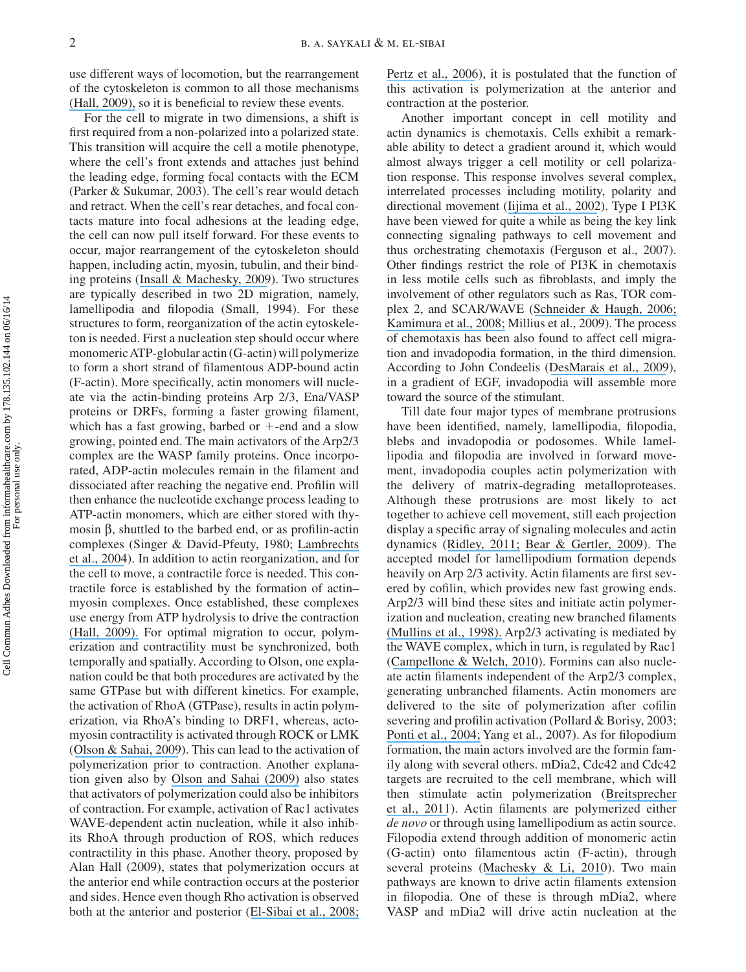use different ways of locomotion, but the rearrangement of the cytoskeleton is common to all those mechanisms [\(Hall, 2009\),](https://www.researchgate.net/publication/23801329_Hall_A_The_cytoskeleton_and_cancer_Cancer_Metastasis_Rev_28_5-14?el=1_x_8&enrichId=rgreq-ce049a8f0deb0c808c626b186b6864c0-XXX&enrichSource=Y292ZXJQYWdlOzI2MzEzMTQxNjtBUzoyMTY2MTA3NTAxMTE3NDRAMTQyODY1NTQzNTEyNA==) so it is beneficial to review these events.

 For the cell to migrate in two dimensions, a shift is first required from a non-polarized into a polarized state. This transition will acquire the cell a motile phenotype, where the cell's front extends and attaches just behind the leading edge, forming focal contacts with the ECM (Parker & Sukumar, 2003). The cell's rear would detach and retract. When the cell's rear detaches, and focal contacts mature into focal adhesions at the leading edge, the cell can now pull itself forward. For these events to occur, major rearrangement of the cytoskeleton should happen, including actin, myosin, tubulin, and their binding proteins [\(Insall & Machesky, 2009](https://www.researchgate.net/publication/26816240_Actin_Dynamics_at_the_Leading_Edge_From_Simple_Machinery_to_Complex_Networks?el=1_x_8&enrichId=rgreq-ce049a8f0deb0c808c626b186b6864c0-XXX&enrichSource=Y292ZXJQYWdlOzI2MzEzMTQxNjtBUzoyMTY2MTA3NTAxMTE3NDRAMTQyODY1NTQzNTEyNA==)). Two structures are typically described in two 2D migration, namely, lamellipodia and filopodia (Small, 1994). For these structures to form, reorganization of the actin cytoskeleton is needed. First a nucleation step should occur where monomeric ATP-globular actin (G-actin) will polymerize to form a short strand of filamentous ADP-bound actin (F-actin). More specifically, actin monomers will nucleate via the actin-binding proteins Arp 2/3, Ena/VASP proteins or DRFs, forming a faster growing filament, which has a fast growing, barbed or  $+$ -end and a slow growing, pointed end. The main activators of the Arp2/3 complex are the WASP family proteins. Once incorporated, ADP-actin molecules remain in the filament and dissociated after reaching the negative end. Profilin will then enhance the nucleotide exchange process leading to ATP-actin monomers, which are either stored with thymosin  $\beta$ , shuttled to the barbed end, or as profilin-actin complexes (Singer & David-Pfeuty, 1980; [Lambrechts](https://www.researchgate.net/publication/8504870_The_actin_cytoskeleton_in_normal_and_pathological_cell_motility?el=1_x_8&enrichId=rgreq-ce049a8f0deb0c808c626b186b6864c0-XXX&enrichSource=Y292ZXJQYWdlOzI2MzEzMTQxNjtBUzoyMTY2MTA3NTAxMTE3NDRAMTQyODY1NTQzNTEyNA==) [et al., 2004](https://www.researchgate.net/publication/8504870_The_actin_cytoskeleton_in_normal_and_pathological_cell_motility?el=1_x_8&enrichId=rgreq-ce049a8f0deb0c808c626b186b6864c0-XXX&enrichSource=Y292ZXJQYWdlOzI2MzEzMTQxNjtBUzoyMTY2MTA3NTAxMTE3NDRAMTQyODY1NTQzNTEyNA==)). In addition to actin reorganization, and for the cell to move, a contractile force is needed. This contractile force is established by the formation of actin – myosin complexes. Once established, these complexes use energy from ATP hydrolysis to drive the contraction [\(Hall, 2009\).](https://www.researchgate.net/publication/23801329_Hall_A_The_cytoskeleton_and_cancer_Cancer_Metastasis_Rev_28_5-14?el=1_x_8&enrichId=rgreq-ce049a8f0deb0c808c626b186b6864c0-XXX&enrichSource=Y292ZXJQYWdlOzI2MzEzMTQxNjtBUzoyMTY2MTA3NTAxMTE3NDRAMTQyODY1NTQzNTEyNA==) For optimal migration to occur, polymerization and contractility must be synchronized, both temporally and spatially. According to Olson, one explanation could be that both procedures are activated by the same GTPase but with different kinetics. For example, the activation of RhoA (GTPase), results in actin polymerization, via RhoA's binding to DRF1, whereas, actomyosin contractility is activated through ROCK or LMK ([Olson & Sahai, 2009](https://www.researchgate.net/publication/5352166_The_actin_cytoskeleton_in_cancer_cell_motility?el=1_x_8&enrichId=rgreq-ce049a8f0deb0c808c626b186b6864c0-XXX&enrichSource=Y292ZXJQYWdlOzI2MzEzMTQxNjtBUzoyMTY2MTA3NTAxMTE3NDRAMTQyODY1NTQzNTEyNA==)). This can lead to the activation of polymerization prior to contraction. Another explanation given also by [Olson and Sahai \(2009\)](https://www.researchgate.net/publication/5352166_The_actin_cytoskeleton_in_cancer_cell_motility?el=1_x_8&enrichId=rgreq-ce049a8f0deb0c808c626b186b6864c0-XXX&enrichSource=Y292ZXJQYWdlOzI2MzEzMTQxNjtBUzoyMTY2MTA3NTAxMTE3NDRAMTQyODY1NTQzNTEyNA==) also states that activators of polymerization could also be inhibitors of contraction. For example, activation of Rac1 activates WAVE-dependent actin nucleation, while it also inhibits RhoA through production of ROS, which reduces contractility in this phase. Another theory, proposed by Alan Hall (2009), states that polymerization occurs at the anterior end while contraction occurs at the posterior and sides. Hence even though Rho activation is observed both at the anterior and posterior ([El-Sibai et al., 2008;](https://www.researchgate.net/publication/5536307_RhoAROCK-mediated_switching_between_Cdc42-_and_Rac1-dependent_protrusion_in_MTLn3_carcinoma_cells?el=1_x_8&enrichId=rgreq-ce049a8f0deb0c808c626b186b6864c0-XXX&enrichSource=Y292ZXJQYWdlOzI2MzEzMTQxNjtBUzoyMTY2MTA3NTAxMTE3NDRAMTQyODY1NTQzNTEyNA==)

[Pertz et al., 2006](https://www.researchgate.net/publication/7230481_Spatiotemporal_dynamics_of_RhoA_activity_in_migrating_cells?el=1_x_8&enrichId=rgreq-ce049a8f0deb0c808c626b186b6864c0-XXX&enrichSource=Y292ZXJQYWdlOzI2MzEzMTQxNjtBUzoyMTY2MTA3NTAxMTE3NDRAMTQyODY1NTQzNTEyNA==)), it is postulated that the function of this activation is polymerization at the anterior and contraction at the posterior.

 Another important concept in cell motility and actin dynamics is chemotaxis. Cells exhibit a remarkable ability to detect a gradient around it, which would almost always trigger a cell motility or cell polarization response. This response involves several complex, interrelated processes including motility, polarity and directional movement ([Iijima et al., 2002](https://www.researchgate.net/publication/11055558_Temporal_and_Spatial_Regulation_of_Chemotaxis?el=1_x_8&enrichId=rgreq-ce049a8f0deb0c808c626b186b6864c0-XXX&enrichSource=Y292ZXJQYWdlOzI2MzEzMTQxNjtBUzoyMTY2MTA3NTAxMTE3NDRAMTQyODY1NTQzNTEyNA==)). Type I PI3K have been viewed for quite a while as being the key link connecting signaling pathways to cell movement and thus orchestrating chemotaxis (Ferguson et al., 2007). Other findings restrict the role of PI3K in chemotaxis in less motile cells such as fibroblasts, and imply the involvement of other regulators such as Ras, TOR complex 2, and SCAR/WAVE ([Schneider & Haugh, 2006;](https://www.researchgate.net/publication/7021928_Mechanisms_of_Gradient_Sensing_and_Chemotaxis_Conserved_Pathways_Diverse_Regulation?el=1_x_8&enrichId=rgreq-ce049a8f0deb0c808c626b186b6864c0-XXX&enrichSource=Y292ZXJQYWdlOzI2MzEzMTQxNjtBUzoyMTY2MTA3NTAxMTE3NDRAMTQyODY1NTQzNTEyNA==)  [Kamimura et al., 2008;](https://www.researchgate.net/publication/51409825_PIP3-Independent_Activation_of_TorC2_and_PKB_at_the_Cell) Millius et al., 2009). The process of chemotaxis has been also found to affect cell migration and invadopodia formation, in the third dimension. According to John Condeelis ([DesMarais et al., 2009](https://www.researchgate.net/publication/24284582_N-WASP_and_Cortactin_Are_Involved_In_Invadopodium-Dependent_Chemotaxis_to_EGF_In_Breast_Tumor_Cells?el=1_x_8&enrichId=rgreq-ce049a8f0deb0c808c626b186b6864c0-XXX&enrichSource=Y292ZXJQYWdlOzI2MzEzMTQxNjtBUzoyMTY2MTA3NTAxMTE3NDRAMTQyODY1NTQzNTEyNA==)), in a gradient of EGF, invadopodia will assemble more toward the source of the stimulant.

 Till date four major types of membrane protrusions have been identified, namely, lamellipodia, filopodia, blebs and invadopodia or podosomes. While lamellipodia and filopodia are involved in forward movement, invadopodia couples actin polymerization with the delivery of matrix-degrading metalloproteases. Although these protrusions are most likely to act together to achieve cell movement, still each projection display a specific array of signaling molecules and actin dynamics ([Ridley, 2011;](https://www.researchgate.net/publication/51248163_Life_at_the_Leading_Edge?el=1_x_8&enrichId=rgreq-ce049a8f0deb0c808c626b186b6864c0-XXX&enrichSource=Y292ZXJQYWdlOzI2MzEzMTQxNjtBUzoyMTY2MTA3NTAxMTE3NDRAMTQyODY1NTQzNTEyNA==) [Bear & Gertler, 2009](https://www.researchgate.net/publication/26264528_EnaVASP_towards_resolving_a_pointed_controversy_at_the_barbed_end_J_Cell_Sci_122Pt?el=1_x_8&enrichId=rgreq-ce049a8f0deb0c808c626b186b6864c0-XXX&enrichSource=Y292ZXJQYWdlOzI2MzEzMTQxNjtBUzoyMTY2MTA3NTAxMTE3NDRAMTQyODY1NTQzNTEyNA==)). The accepted model for lamellipodium formation depends heavily on Arp 2/3 activity. Actin filaments are first severed by cofilin, which provides new fast growing ends. Arp2/3 will bind these sites and initiate actin polymerization and nucleation, creating new branched filaments [\(Mullins et al., 1998\).](https://www.researchgate.net/publication/13683130_Mullins_R_D_Heuser_J_A_Pollard_T_D_The_interaction_of_Arp23_complex_with_actin_Nucleation_high_affinity_pointed_end_capping_and_formation_of_branching_networks_of_filaments_Proc_Natl_Acad_Sci_USA_95_6?el=1_x_8&enrichId=rgreq-ce049a8f0deb0c808c626b186b6864c0-XXX&enrichSource=Y292ZXJQYWdlOzI2MzEzMTQxNjtBUzoyMTY2MTA3NTAxMTE3NDRAMTQyODY1NTQzNTEyNA==) Arp2/3 activating is mediated by the WAVE complex, which in turn, is regulated by Rac1 ([Campellone & Welch, 2010](https://www.researchgate.net/publication/42255525_A_nucleator_arms_race_Cellular_control_of_actin_assembly?el=1_x_8&enrichId=rgreq-ce049a8f0deb0c808c626b186b6864c0-XXX&enrichSource=Y292ZXJQYWdlOzI2MzEzMTQxNjtBUzoyMTY2MTA3NTAxMTE3NDRAMTQyODY1NTQzNTEyNA==)). Formins can also nucleate actin filaments independent of the Arp2/3 complex, generating unbranched filaments. Actin monomers are delivered to the site of polymerization after cofilin severing and profilin activation (Pollard & Borisy, 2003; [Ponti et al., 2004;](https://www.researchgate.net/publication/8339761_Two_Distinct_Actin_Networks_Drive_the_Protrusion_of_Migrating_Cells?el=1_x_8&enrichId=rgreq-ce049a8f0deb0c808c626b186b6864c0-XXX&enrichSource=Y292ZXJQYWdlOzI2MzEzMTQxNjtBUzoyMTY2MTA3NTAxMTE3NDRAMTQyODY1NTQzNTEyNA==) Yang et al., 2007). As for filopodium formation, the main actors involved are the formin family along with several others. mDia2, Cdc42 and Cdc42 targets are recruited to the cell membrane, which will then stimulate actin polymerization ([Breitsprecher](https://www.researchgate.net/publication/49739438_Molecular_mechanism_of_EnaVASP-mediated_actin-filament_elongation?el=1_x_8&enrichId=rgreq-ce049a8f0deb0c808c626b186b6864c0-XXX&enrichSource=Y292ZXJQYWdlOzI2MzEzMTQxNjtBUzoyMTY2MTA3NTAxMTE3NDRAMTQyODY1NTQzNTEyNA==)  [et al., 2011](https://www.researchgate.net/publication/49739438_Molecular_mechanism_of_EnaVASP-mediated_actin-filament_elongation?el=1_x_8&enrichId=rgreq-ce049a8f0deb0c808c626b186b6864c0-XXX&enrichSource=Y292ZXJQYWdlOzI2MzEzMTQxNjtBUzoyMTY2MTA3NTAxMTE3NDRAMTQyODY1NTQzNTEyNA==)). Actin filaments are polymerized either *de novo* or through using lamellipodium as actin source. Filopodia extend through addition of monomeric actin (G-actin) onto filamentous actin (F-actin), through several proteins ([Machesky & Li, 2010](https://www.researchgate.net/publication/45660690_Fascin_Invasive_filopodia_promoting_metastasis?el=1_x_8&enrichId=rgreq-ce049a8f0deb0c808c626b186b6864c0-XXX&enrichSource=Y292ZXJQYWdlOzI2MzEzMTQxNjtBUzoyMTY2MTA3NTAxMTE3NDRAMTQyODY1NTQzNTEyNA==)). Two main pathways are known to drive actin filaments extension in filopodia. One of these is through mDia2, where VASP and mDia2 will drive actin nucleation at the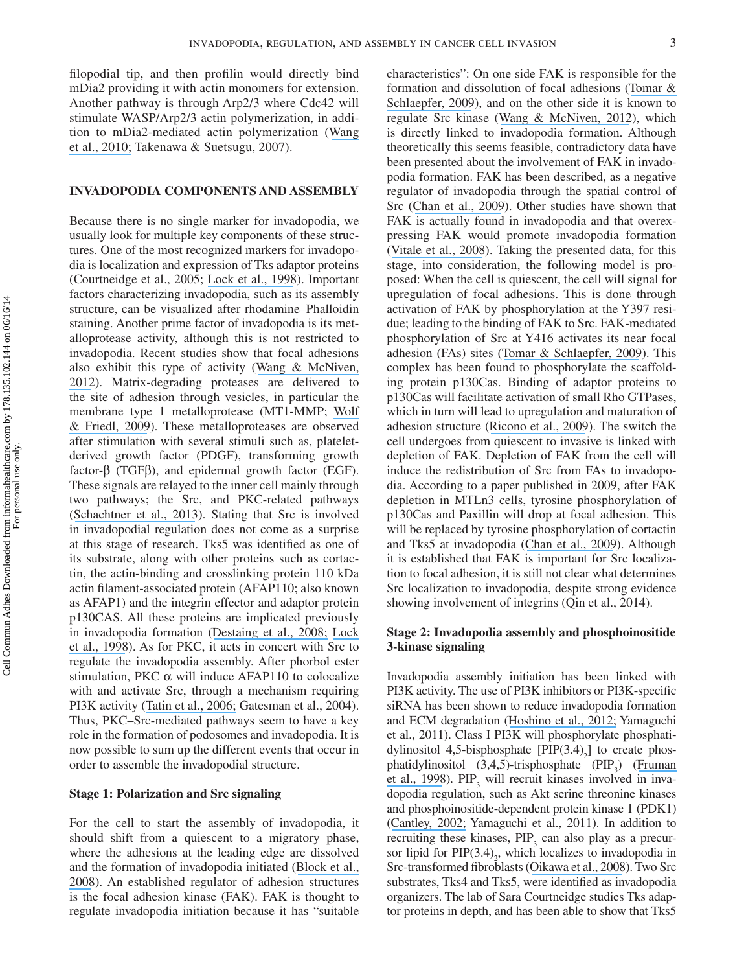filopodial tip, and then profilin would directly bind mDia2 providing it with actin monomers for extension. Another pathway is through Arp2/3 where Cdc42 will stimulate WASP/Arp2/3 actin polymerization, in addition to mDia2-mediated actin polymerization ([Wang](https://www.researchgate.net/publication/44602476_Light-mediated_activation_reveals_a_key_role_for_Rac_in_collective_guidance_of_cell_movement_in_vivo?el=1_x_8&enrichId=rgreq-ce049a8f0deb0c808c626b186b6864c0-XXX&enrichSource=Y292ZXJQYWdlOzI2MzEzMTQxNjtBUzoyMTY2MTA3NTAxMTE3NDRAMTQyODY1NTQzNTEyNA==) [et al., 2010;](https://www.researchgate.net/publication/44602476_Light-mediated_activation_reveals_a_key_role_for_Rac_in_collective_guidance_of_cell_movement_in_vivo?el=1_x_8&enrichId=rgreq-ce049a8f0deb0c808c626b186b6864c0-XXX&enrichSource=Y292ZXJQYWdlOzI2MzEzMTQxNjtBUzoyMTY2MTA3NTAxMTE3NDRAMTQyODY1NTQzNTEyNA==) Takenawa & Suetsugu, 2007).

# **INVADOPODIA COMPONENTS AND ASSEMBLY**

 Because there is no single marker for invadopodia, we usually look for multiple key components of these structures. One of the most recognized markers for invadopodia is localization and expression of Tks adaptor proteins (Courtneidge et al., 2005; [Lock et al., 1998](https://www.researchgate.net/publication/13596725_A_new_method_for_isolating_tyrosine_kinase_substrates_used_to_identify_Fish_an_SH3_and_PX_domain-containing_protein_and_Src_substrate?el=1_x_8&enrichId=rgreq-ce049a8f0deb0c808c626b186b6864c0-XXX&enrichSource=Y292ZXJQYWdlOzI2MzEzMTQxNjtBUzoyMTY2MTA3NTAxMTE3NDRAMTQyODY1NTQzNTEyNA==)). Important factors characterizing invadopodia, such as its assembly structure, can be visualized after rhodamine-Phalloidin staining. Another prime factor of invadopodia is its metalloprotease activity, although this is not restricted to invadopodia. Recent studies show that focal adhesions also exhibit this type of activity ([Wang & McNiven,](https://www.researchgate.net/publication/221792444_Invasive_matrix_degradation_at_focal_adhesions_occurs_via_protease_recruitment_by_a_FAK-p130Cas_complex?el=1_x_8&enrichId=rgreq-ce049a8f0deb0c808c626b186b6864c0-XXX&enrichSource=Y292ZXJQYWdlOzI2MzEzMTQxNjtBUzoyMTY2MTA3NTAxMTE3NDRAMTQyODY1NTQzNTEyNA==) [2012](https://www.researchgate.net/publication/221792444_Invasive_matrix_degradation_at_focal_adhesions_occurs_via_protease_recruitment_by_a_FAK-p130Cas_complex?el=1_x_8&enrichId=rgreq-ce049a8f0deb0c808c626b186b6864c0-XXX&enrichSource=Y292ZXJQYWdlOzI2MzEzMTQxNjtBUzoyMTY2MTA3NTAxMTE3NDRAMTQyODY1NTQzNTEyNA==)). Matrix-degrading proteases are delivered to the site of adhesion through vesicles, in particular the membrane type 1 metalloprotease (MT1-MMP; [Wolf](https://www.researchgate.net/publication/5251626_Mapping_proteolytic_cancer_cell-extracellular_matrix_interfaces?el=1_x_8&enrichId=rgreq-ce049a8f0deb0c808c626b186b6864c0-XXX&enrichSource=Y292ZXJQYWdlOzI2MzEzMTQxNjtBUzoyMTY2MTA3NTAxMTE3NDRAMTQyODY1NTQzNTEyNA==)  [& Friedl, 2009](https://www.researchgate.net/publication/5251626_Mapping_proteolytic_cancer_cell-extracellular_matrix_interfaces?el=1_x_8&enrichId=rgreq-ce049a8f0deb0c808c626b186b6864c0-XXX&enrichSource=Y292ZXJQYWdlOzI2MzEzMTQxNjtBUzoyMTY2MTA3NTAxMTE3NDRAMTQyODY1NTQzNTEyNA==)). These metalloproteases are observed after stimulation with several stimuli such as, plateletderived growth factor (PDGF), transforming growth factor- $β$  (TGF $β$ ), and epidermal growth factor (EGF). These signals are relayed to the inner cell mainly through two pathways; the Src, and PKC-related pathways ([Schachtner et al., 2013](https://www.researchgate.net/publication/242333879_Podosomes_in_adhesion_migration_mechanosensing_and_matrix_remodeling?el=1_x_8&enrichId=rgreq-ce049a8f0deb0c808c626b186b6864c0-XXX&enrichSource=Y292ZXJQYWdlOzI2MzEzMTQxNjtBUzoyMTY2MTA3NTAxMTE3NDRAMTQyODY1NTQzNTEyNA==)). Stating that Src is involved in invadopodial regulation does not come as a surprise at this stage of research. Tks5 was identified as one of its substrate, along with other proteins such as cortactin, the actin-binding and crosslinking protein 110 kDa actin filament-associated protein (AFAP110; also known as AFAP1) and the integrin effector and adaptor protein p130CAS. All these proteins are implicated previously in invadopodia formation ([Destaing et al., 2008;](https://www.researchgate.net/publication/5868681_The_Tyrosine_Kinase_Activity_of_c-Src_Regulates_Actin_Dynamics_and_Organization_of_Podosomes_in_Osteoclasts?el=1_x_8&enrichId=rgreq-ce049a8f0deb0c808c626b186b6864c0-XXX&enrichSource=Y292ZXJQYWdlOzI2MzEzMTQxNjtBUzoyMTY2MTA3NTAxMTE3NDRAMTQyODY1NTQzNTEyNA==) [Lock](https://www.researchgate.net/publication/13596725_A_new_method_for_isolating_tyrosine_kinase_substrates_used_to_identify_Fish_an_SH3_and_PX_domain-containing_protein_and_Src_substrate?el=1_x_8&enrichId=rgreq-ce049a8f0deb0c808c626b186b6864c0-XXX&enrichSource=Y292ZXJQYWdlOzI2MzEzMTQxNjtBUzoyMTY2MTA3NTAxMTE3NDRAMTQyODY1NTQzNTEyNA==) [et al., 1998](https://www.researchgate.net/publication/13596725_A_new_method_for_isolating_tyrosine_kinase_substrates_used_to_identify_Fish_an_SH3_and_PX_domain-containing_protein_and_Src_substrate?el=1_x_8&enrichId=rgreq-ce049a8f0deb0c808c626b186b6864c0-XXX&enrichSource=Y292ZXJQYWdlOzI2MzEzMTQxNjtBUzoyMTY2MTA3NTAxMTE3NDRAMTQyODY1NTQzNTEyNA==)). As for PKC, it acts in concert with Src to regulate the invadopodia assembly. After phorbol ester stimulation, PKC  $\alpha$  will induce AFAP110 to colocalize with and activate Src, through a mechanism requiring PI3K activity ([Tatin et al., 2006;](https://www.researchgate.net/publication/7325299_A_signalling_cascade_involving_PKC_Src_and_Cdc42_regulates_podosome_assembly_in_cultured_endothelial_cells_in_response_to_phorbol_ester?el=1_x_8&enrichId=rgreq-ce049a8f0deb0c808c626b186b6864c0-XXX&enrichSource=Y292ZXJQYWdlOzI2MzEzMTQxNjtBUzoyMTY2MTA3NTAxMTE3NDRAMTQyODY1NTQzNTEyNA==) Gatesman et al., 2004). Thus, PKC–Src-mediated pathways seem to have a key role in the formation of podosomes and invadopodia. It is now possible to sum up the different events that occur in order to assemble the invadopodial structure.

#### **Stage 1: Polarization and Src signaling**

 For the cell to start the assembly of invadopodia, it should shift from a quiescent to a migratory phase, where the adhesions at the leading edge are dissolved and the formation of invadopodia initiated ([Block et al.,](https://www.researchgate.net/publication/281354446_Podosome-type_adhesions_and_focal_adhesions_so_alike_yet_so_different?el=1_x_8&enrichId=rgreq-ce049a8f0deb0c808c626b186b6864c0-XXX&enrichSource=Y292ZXJQYWdlOzI2MzEzMTQxNjtBUzoyMTY2MTA3NTAxMTE3NDRAMTQyODY1NTQzNTEyNA==) [2008](https://www.researchgate.net/publication/281354446_Podosome-type_adhesions_and_focal_adhesions_so_alike_yet_so_different?el=1_x_8&enrichId=rgreq-ce049a8f0deb0c808c626b186b6864c0-XXX&enrichSource=Y292ZXJQYWdlOzI2MzEzMTQxNjtBUzoyMTY2MTA3NTAxMTE3NDRAMTQyODY1NTQzNTEyNA==)). An established regulator of adhesion structures is the focal adhesion kinase (FAK). FAK is thought to regulate invadopodia initiation because it has "suitable

characteristics": On one side FAK is responsible for the formation and dissolution of focal adhesions ([Tomar &](https://www.researchgate.net/publication/26290877_Tomar_A_Schlaepfer_DD_Focal_adhesion_kinase_switching_between_GAPs_and_GEFs_in_the_regulation_of_cell_motility_Curr_Opin_Cell_Biol_21_676-683?el=1_x_8&enrichId=rgreq-ce049a8f0deb0c808c626b186b6864c0-XXX&enrichSource=Y292ZXJQYWdlOzI2MzEzMTQxNjtBUzoyMTY2MTA3NTAxMTE3NDRAMTQyODY1NTQzNTEyNA==)  [Schlaepfer, 2009](https://www.researchgate.net/publication/26290877_Tomar_A_Schlaepfer_DD_Focal_adhesion_kinase_switching_between_GAPs_and_GEFs_in_the_regulation_of_cell_motility_Curr_Opin_Cell_Biol_21_676-683?el=1_x_8&enrichId=rgreq-ce049a8f0deb0c808c626b186b6864c0-XXX&enrichSource=Y292ZXJQYWdlOzI2MzEzMTQxNjtBUzoyMTY2MTA3NTAxMTE3NDRAMTQyODY1NTQzNTEyNA==)), and on the other side it is known to regulate Src kinase ([Wang & McNiven, 2012](https://www.researchgate.net/publication/221792444_Invasive_matrix_degradation_at_focal_adhesions_occurs_via_protease_recruitment_by_a_FAK-p130Cas_complex?el=1_x_8&enrichId=rgreq-ce049a8f0deb0c808c626b186b6864c0-XXX&enrichSource=Y292ZXJQYWdlOzI2MzEzMTQxNjtBUzoyMTY2MTA3NTAxMTE3NDRAMTQyODY1NTQzNTEyNA==)), which is directly linked to invadopodia formation. Although theoretically this seems feasible, contradictory data have been presented about the involvement of FAK in invadopodia formation. FAK has been described, as a negative regulator of invadopodia through the spatial control of Src ([Chan et al., 2009](https://www.researchgate.net/publication/24276149_Chan_KT_Cortesio_CL_Huttenlocher_AFAK_alters_invadopodia_and_focal_adhesion_composition_and_dynamics_to_regulate_breast_cancer_invasion_J_Cell_Biol_185_357-370?el=1_x_8&enrichId=rgreq-ce049a8f0deb0c808c626b186b6864c0-XXX&enrichSource=Y292ZXJQYWdlOzI2MzEzMTQxNjtBUzoyMTY2MTA3NTAxMTE3NDRAMTQyODY1NTQzNTEyNA==)). Other studies have shown that FAK is actually found in invadopodia and that overexpressing FAK would promote invadopodia formation ([Vitale et al., 2008](https://www.researchgate.net/publication/5294773_Vitale_S_Avizienyte_E_Brunton_VG_Frame_MC_Focal_adhesion_kinase_is_not_required_for_Src-induced_formation_of_invadopodia_in_KM12C_colon_cancer_cells_and_can_interfere_with_their_assembly_Eur_J_Cell_Bi?el=1_x_8&enrichId=rgreq-ce049a8f0deb0c808c626b186b6864c0-XXX&enrichSource=Y292ZXJQYWdlOzI2MzEzMTQxNjtBUzoyMTY2MTA3NTAxMTE3NDRAMTQyODY1NTQzNTEyNA==)). Taking the presented data, for this stage, into consideration, the following model is proposed: When the cell is quiescent, the cell will signal for upregulation of focal adhesions. This is done through activation of FAK by phosphorylation at the Y397 residue; leading to the binding of FAK to Src. FAK-mediated phosphorylation of Src at Y416 activates its near focal adhesion (FAs) sites ([Tomar & Schlaepfer, 2009](https://www.researchgate.net/publication/26290877_Tomar_A_Schlaepfer_DD_Focal_adhesion_kinase_switching_between_GAPs_and_GEFs_in_the_regulation_of_cell_motility_Curr_Opin_Cell_Biol_21_676-683?el=1_x_8&enrichId=rgreq-ce049a8f0deb0c808c626b186b6864c0-XXX&enrichSource=Y292ZXJQYWdlOzI2MzEzMTQxNjtBUzoyMTY2MTA3NTAxMTE3NDRAMTQyODY1NTQzNTEyNA==)). This complex has been found to phosphorylate the scaffolding protein p130Cas. Binding of adaptor proteins to p130Cas will facilitate activation of small Rho GTPases, which in turn will lead to upregulation and maturation of adhesion structure ([Ricono et al., 2009](https://www.researchgate.net/publication/23999248_Specific_Cross-talk_between_Epidermal_Growth_Factor_Receptor_and_Integrin_v_5_Promotes_Carcinoma_Cell_Invasion_and_Metastasis?el=1_x_8&enrichId=rgreq-ce049a8f0deb0c808c626b186b6864c0-XXX&enrichSource=Y292ZXJQYWdlOzI2MzEzMTQxNjtBUzoyMTY2MTA3NTAxMTE3NDRAMTQyODY1NTQzNTEyNA==)). The switch the cell undergoes from quiescent to invasive is linked with depletion of FAK. Depletion of FAK from the cell will induce the redistribution of Src from FAs to invadopodia. According to a paper published in 2009, after FAK depletion in MTLn3 cells, tyrosine phosphorylation of p130Cas and Paxillin will drop at focal adhesion. This will be replaced by tyrosine phosphorylation of cortactin and Tks5 at invadopodia ([Chan et al., 2009](https://www.researchgate.net/publication/24276149_Chan_KT_Cortesio_CL_Huttenlocher_AFAK_alters_invadopodia_and_focal_adhesion_composition_and_dynamics_to_regulate_breast_cancer_invasion_J_Cell_Biol_185_357-370?el=1_x_8&enrichId=rgreq-ce049a8f0deb0c808c626b186b6864c0-XXX&enrichSource=Y292ZXJQYWdlOzI2MzEzMTQxNjtBUzoyMTY2MTA3NTAxMTE3NDRAMTQyODY1NTQzNTEyNA==)). Although it is established that FAK is important for Src localization to focal adhesion, it is still not clear what determines Src localization to invadopodia, despite strong evidence showing involvement of integrins (Qin et al., 2014).

# **Stage 2: Invadopodia assembly and phosphoinositide 3-kinase signaling**

 Invadopodia assembly initiation has been linked with PI3K activity. The use of PI3K inhibitors or PI3K-specific siRNA has been shown to reduce invadopodia formation and ECM degradation ([Hoshino et al., 2012;](https://www.researchgate.net/publication/230833561_Network_Analysis_of_the_Focal_Adhesion_to_Invadopodia_Transition_Identifies_a_PI3K-PKC_Invasive_Signaling_Axis?el=1_x_8&enrichId=rgreq-ce049a8f0deb0c808c626b186b6864c0-XXX&enrichSource=Y292ZXJQYWdlOzI2MzEzMTQxNjtBUzoyMTY2MTA3NTAxMTE3NDRAMTQyODY1NTQzNTEyNA==) Yamaguchi et al., 2011). Class I PI3K will phosphorylate phosphatidylinositol 4,5-bisphosphate  $[PIP(3.4)<sub>2</sub>]$  to create phosphatidylinositol  $(3,4,5)$ -trisphosphate  $(PIP_3)$  (Fruman [et al., 1998](https://www.researchgate.net/publication/13525547_Phophoinositide_kinases?el=1_x_8&enrichId=rgreq-ce049a8f0deb0c808c626b186b6864c0-XXX&enrichSource=Y292ZXJQYWdlOzI2MzEzMTQxNjtBUzoyMTY2MTA3NTAxMTE3NDRAMTQyODY1NTQzNTEyNA==)).  $PIP_3$  will recruit kinases involved in invadopodia regulation, such as Akt serine threonine kinases and phosphoinositide-dependent protein kinase 1 (PDK1) ([Cantley, 2002;](https://www.researchgate.net/publication/11333290_The_Phosphoinositide_3-Kinase_Pathway?el=1_x_8&enrichId=rgreq-ce049a8f0deb0c808c626b186b6864c0-XXX&enrichSource=Y292ZXJQYWdlOzI2MzEzMTQxNjtBUzoyMTY2MTA3NTAxMTE3NDRAMTQyODY1NTQzNTEyNA==) Yamaguchi et al., 2011). In addition to recruiting these kinases,  $PIP_3$  can also play as a precursor lipid for  $PIP(3.4)_{2}$ , which localizes to invadopodia in Src-transformed fibroblasts ([Oikawa et al., 2008](https://www.researchgate.net/publication/5245866_Sequential_signals_toward_podosome_formation_in_NIH-src_cells?el=1_x_8&enrichId=rgreq-ce049a8f0deb0c808c626b186b6864c0-XXX&enrichSource=Y292ZXJQYWdlOzI2MzEzMTQxNjtBUzoyMTY2MTA3NTAxMTE3NDRAMTQyODY1NTQzNTEyNA==)). Two Src substrates, Tks4 and Tks5, were identified as invadopodia organizers. The lab of Sara Courtneidge studies Tks adaptor proteins in depth, and has been able to show that Tks5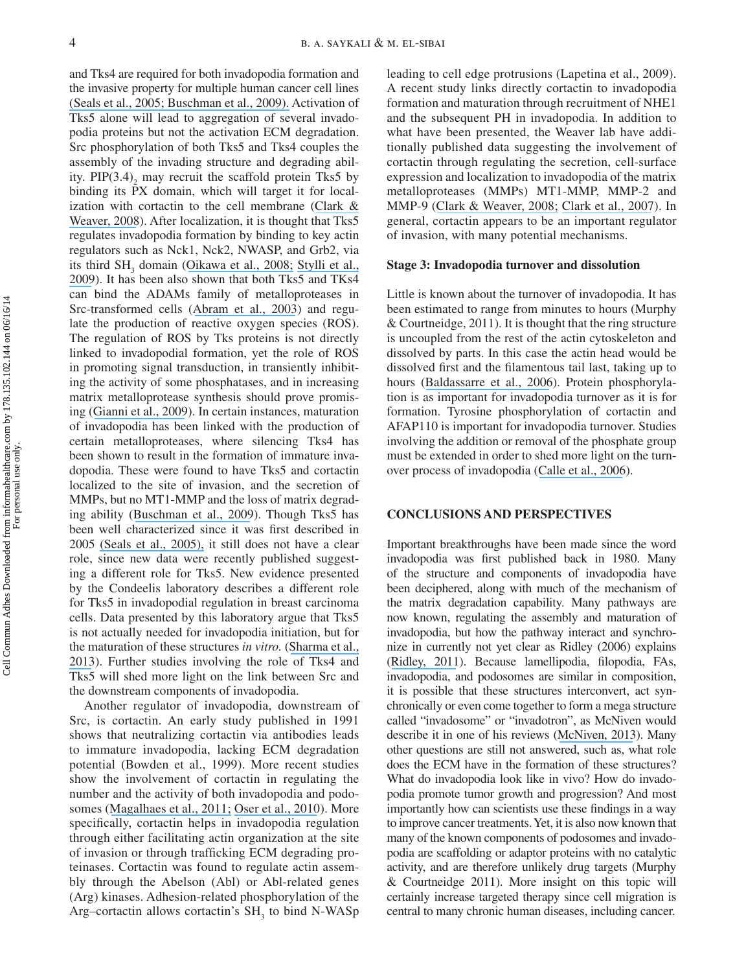and Tks4 are required for both invadopodia formation and the invasive property for multiple human cancer cell lines [\(Seals et al., 2005; Buschman et al., 2009\).](https://www.researchgate.net/publication/8023482_Seals_DF_Azucena_Jr_EF_Pass_I_Tesfay_L_Gordon_R_Woodrow_M_et_al_The_adaptor_protein_Tks5Fish_is_required_for_podosome_formation_and_function_and_for_the_protease-driven_invasion_of_cancer_cells_Cancer?el=1_x_8&enrichId=rgreq-ce049a8f0deb0c808c626b186b6864c0-XXX&enrichSource=Y292ZXJQYWdlOzI2MzEzMTQxNjtBUzoyMTY2MTA3NTAxMTE3NDRAMTQyODY1NTQzNTEyNA==) Activation of Tks5 alone will lead to aggregation of several invadopodia proteins but not the activation ECM degradation. Src phosphorylation of both Tks5 and Tks4 couples the assembly of the invading structure and degrading ability. PIP $(3.4)$ <sub>2</sub> may recruit the scaffold protein Tks5 by binding its PX domain, which will target it for localization with cortactin to the cell membrane ([Clark &](https://www.researchgate.net/publication/5510728_Clark_ES_Weaver_AM_A_new_role_for_cortactin_in_invadopodia_regulation_of_protease_secretion_Eur_J_Cell_Biol_87_581-590?el=1_x_8&enrichId=rgreq-ce049a8f0deb0c808c626b186b6864c0-XXX&enrichSource=Y292ZXJQYWdlOzI2MzEzMTQxNjtBUzoyMTY2MTA3NTAxMTE3NDRAMTQyODY1NTQzNTEyNA==) [Weaver, 2008](https://www.researchgate.net/publication/5510728_Clark_ES_Weaver_AM_A_new_role_for_cortactin_in_invadopodia_regulation_of_protease_secretion_Eur_J_Cell_Biol_87_581-590?el=1_x_8&enrichId=rgreq-ce049a8f0deb0c808c626b186b6864c0-XXX&enrichSource=Y292ZXJQYWdlOzI2MzEzMTQxNjtBUzoyMTY2MTA3NTAxMTE3NDRAMTQyODY1NTQzNTEyNA==)). After localization, it is thought that Tks5 regulates invadopodia formation by binding to key actin regulators such as Nck1, Nck2, NWASP, and Grb2, via its third SH<sub>3</sub> domain ([Oikawa et al., 2008;](https://www.researchgate.net/publication/5245866_Sequential_signals_toward_podosome_formation_in_NIH-src_cells?el=1_x_8&enrichId=rgreq-ce049a8f0deb0c808c626b186b6864c0-XXX&enrichSource=Y292ZXJQYWdlOzI2MzEzMTQxNjtBUzoyMTY2MTA3NTAxMTE3NDRAMTQyODY1NTQzNTEyNA==) [Stylli et al.,](https://www.researchgate.net/publication/26665492_Nck_adaptor_proteins_link_Tks5_to_invadopodia_actin_regulation_and_ECM_degradation?el=1_x_8&enrichId=rgreq-ce049a8f0deb0c808c626b186b6864c0-XXX&enrichSource=Y292ZXJQYWdlOzI2MzEzMTQxNjtBUzoyMTY2MTA3NTAxMTE3NDRAMTQyODY1NTQzNTEyNA==) [2009](https://www.researchgate.net/publication/26665492_Nck_adaptor_proteins_link_Tks5_to_invadopodia_actin_regulation_and_ECM_degradation?el=1_x_8&enrichId=rgreq-ce049a8f0deb0c808c626b186b6864c0-XXX&enrichSource=Y292ZXJQYWdlOzI2MzEzMTQxNjtBUzoyMTY2MTA3NTAxMTE3NDRAMTQyODY1NTQzNTEyNA==)). It has been also shown that both Tks5 and TKs4 can bind the ADAMs family of metalloproteases in Src-transformed cells ([Abram et al., 2003](https://www.researchgate.net/publication/10874613_The_Adaptor_Protein_Fish_Associates_with_Members_of_the_ADAMs_Family_and_Localizes_to_Podosomes_of_Src-transformed_Cells?el=1_x_8&enrichId=rgreq-ce049a8f0deb0c808c626b186b6864c0-XXX&enrichSource=Y292ZXJQYWdlOzI2MzEzMTQxNjtBUzoyMTY2MTA3NTAxMTE3NDRAMTQyODY1NTQzNTEyNA==)) and regulate the production of reactive oxygen species (ROS). The regulation of ROS by Tks proteins is not directly linked to invadopodial formation, yet the role of ROS in promoting signal transduction, in transiently inhibiting the activity of some phosphatases, and in increasing matrix metalloprotease synthesis should prove promising ([Gianni et al., 2009](https://www.researchgate.net/publication/26813532_Novel_p47phox-Related_Organizers_Regulate_Localized_NADPH_Oxidase_1_Nox1_Activity?el=1_x_8&enrichId=rgreq-ce049a8f0deb0c808c626b186b6864c0-XXX&enrichSource=Y292ZXJQYWdlOzI2MzEzMTQxNjtBUzoyMTY2MTA3NTAxMTE3NDRAMTQyODY1NTQzNTEyNA==)). In certain instances, maturation of invadopodia has been linked with the production of certain metalloproteases, where silencing Tks4 has been shown to result in the formation of immature invadopodia. These were found to have Tks5 and cortactin localized to the site of invasion, and the secretion of MMPs, but no MT1-MMP and the loss of matrix degrading ability ([Buschman et al., 2009](https://www.researchgate.net/publication/23788918_The_Novel_Adaptor_Protein_Tks4_SH3PXD2B_Is_Required_for_Functional_Podosome_Formation?el=1_x_8&enrichId=rgreq-ce049a8f0deb0c808c626b186b6864c0-XXX&enrichSource=Y292ZXJQYWdlOzI2MzEzMTQxNjtBUzoyMTY2MTA3NTAxMTE3NDRAMTQyODY1NTQzNTEyNA==)). Though Tks5 has been well characterized since it was first described in 2005 [\(Seals et al., 2005\),](https://www.researchgate.net/publication/8023482_Seals_DF_Azucena_Jr_EF_Pass_I_Tesfay_L_Gordon_R_Woodrow_M_et_al_The_adaptor_protein_Tks5Fish_is_required_for_podosome_formation_and_function_and_for_the_protease-driven_invasion_of_cancer_cells_Cancer?el=1_x_8&enrichId=rgreq-ce049a8f0deb0c808c626b186b6864c0-XXX&enrichSource=Y292ZXJQYWdlOzI2MzEzMTQxNjtBUzoyMTY2MTA3NTAxMTE3NDRAMTQyODY1NTQzNTEyNA==) it still does not have a clear role, since new data were recently published suggesting a different role for Tks5. New evidence presented by the Condeelis laboratory describes a different role for Tks5 in invadopodial regulation in breast carcinoma cells. Data presented by this laboratory argue that Tks5 is not actually needed for invadopodia initiation, but for the maturation of these structures *in vitro.* ([Sharma et al.,](https://www.researchgate.net/publication/258425710_Tks5_and_SHIP2_Regulate_Invadopodium_Maturation_but_Not_Initiation_in_Breast_Carcinoma_Cells?el=1_x_8&enrichId=rgreq-ce049a8f0deb0c808c626b186b6864c0-XXX&enrichSource=Y292ZXJQYWdlOzI2MzEzMTQxNjtBUzoyMTY2MTA3NTAxMTE3NDRAMTQyODY1NTQzNTEyNA==) [2013](https://www.researchgate.net/publication/258425710_Tks5_and_SHIP2_Regulate_Invadopodium_Maturation_but_Not_Initiation_in_Breast_Carcinoma_Cells?el=1_x_8&enrichId=rgreq-ce049a8f0deb0c808c626b186b6864c0-XXX&enrichSource=Y292ZXJQYWdlOzI2MzEzMTQxNjtBUzoyMTY2MTA3NTAxMTE3NDRAMTQyODY1NTQzNTEyNA==)). Further studies involving the role of Tks4 and Tks5 will shed more light on the link between Src and the downstream components of invadopodia.

 Another regulator of invadopodia, downstream of Src, is cortactin. An early study published in 1991 shows that neutralizing cortactin via antibodies leads to immature invadopodia, lacking ECM degradation potential (Bowden et al., 1999). More recent studies show the involvement of cortactin in regulating the number and the activity of both invadopodia and podosomes ([Magalhaes et al., 2011;](https://www.researchgate.net/publication/51820016_Cortactin_phosphorylation_regulates_cell_invasion_through_a_pH-dependent_pathway?el=1_x_8&enrichId=rgreq-ce049a8f0deb0c808c626b186b6864c0-XXX&enrichSource=Y292ZXJQYWdlOzI2MzEzMTQxNjtBUzoyMTY2MTA3NTAxMTE3NDRAMTQyODY1NTQzNTEyNA==) [Oser et al., 2010](https://www.researchgate.net/publication/47534499_Specific_tyrosine_phosphorylation_sites_on_cortactin_regulate_Nck1-dependent_actin_polymerization_in_invadopodia?el=1_x_8&enrichId=rgreq-ce049a8f0deb0c808c626b186b6864c0-XXX&enrichSource=Y292ZXJQYWdlOzI2MzEzMTQxNjtBUzoyMTY2MTA3NTAxMTE3NDRAMTQyODY1NTQzNTEyNA==)). More specifically, cortactin helps in invadopodia regulation through either facilitating actin organization at the site of invasion or through trafficking ECM degrading proteinases. Cortactin was found to regulate actin assembly through the Abelson (Abl) or Abl-related genes (Arg) kinases. Adhesion-related phosphorylation of the Arg–cortactin allows cortactin's  $SH_3$  to bind N-WASp leading to cell edge protrusions (Lapetina et al., 2009). A recent study links directly cortactin to invadopodia formation and maturation through recruitment of NHE1 and the subsequent PH in invadopodia. In addition to what have been presented, the Weaver lab have additionally published data suggesting the involvement of cortactin through regulating the secretion, cell-surface expression and localization to invadopodia of the matrix metalloproteases (MMPs) MT1-MMP, MMP-2 and MMP-9 ([Clark & Weaver, 2008;](https://www.researchgate.net/publication/5510728_Clark_ES_Weaver_AM_A_new_role_for_cortactin_in_invadopodia_regulation_of_protease_secretion_Eur_J_Cell_Biol_87_581-590?el=1_x_8&enrichId=rgreq-ce049a8f0deb0c808c626b186b6864c0-XXX&enrichSource=Y292ZXJQYWdlOzI2MzEzMTQxNjtBUzoyMTY2MTA3NTAxMTE3NDRAMTQyODY1NTQzNTEyNA==) [Clark et al., 2007](https://www.researchgate.net/publication/6348733_Cortactin_Is_an_Essential_Regulator_of_Matrix_Metalloproteinase_Secretion_and_Extracellular_Matrix_Degradation_in_Invadopodia?el=1_x_8&enrichId=rgreq-ce049a8f0deb0c808c626b186b6864c0-XXX&enrichSource=Y292ZXJQYWdlOzI2MzEzMTQxNjtBUzoyMTY2MTA3NTAxMTE3NDRAMTQyODY1NTQzNTEyNA==)). In general, cortactin appears to be an important regulator of invasion, with many potential mechanisms.

#### **Stage 3: Invadopodia turnover and dissolution**

 Little is known about the turnover of invadopodia. It has been estimated to range from minutes to hours (Murphy & Courtneidge, 2011). It is thought that the ring structure is uncoupled from the rest of the actin cytoskeleton and dissolved by parts. In this case the actin head would be dissolved first and the filamentous tail last, taking up to hours ([Baldassarre et al., 2006](https://www.researchgate.net/publication/6785292_Actin_dynamics_at_sites_of_extracellular_matrix_degradation?el=1_x_8&enrichId=rgreq-ce049a8f0deb0c808c626b186b6864c0-XXX&enrichSource=Y292ZXJQYWdlOzI2MzEzMTQxNjtBUzoyMTY2MTA3NTAxMTE3NDRAMTQyODY1NTQzNTEyNA==)). Protein phosphorylation is as important for invadopodia turnover as it is for formation. Tyrosine phosphorylation of cortactin and AFAP110 is important for invadopodia turnover. Studies involving the addition or removal of the phosphate group must be extended in order to shed more light on the turnover process of invadopodia ([Calle et al., 2006](https://www.researchgate.net/publication/7058639_Inhibition_of_calpain_stabilises_podosomes_and_impairs_dendritic_cell_motility?el=1_x_8&enrichId=rgreq-ce049a8f0deb0c808c626b186b6864c0-XXX&enrichSource=Y292ZXJQYWdlOzI2MzEzMTQxNjtBUzoyMTY2MTA3NTAxMTE3NDRAMTQyODY1NTQzNTEyNA==)).

#### **CONCLUSIONS AND PERSPECTIVES**

 Important breakthroughs have been made since the word invadopodia was first published back in 1980. Many of the structure and components of invadopodia have been deciphered, along with much of the mechanism of the matrix degradation capability. Many pathways are now known, regulating the assembly and maturation of invadopodia, but how the pathway interact and synchronize in currently not yet clear as Ridley (2006) explains ([Ridley, 2011](https://www.researchgate.net/publication/51248163_Life_at_the_Leading_Edge?el=1_x_8&enrichId=rgreq-ce049a8f0deb0c808c626b186b6864c0-XXX&enrichSource=Y292ZXJQYWdlOzI2MzEzMTQxNjtBUzoyMTY2MTA3NTAxMTE3NDRAMTQyODY1NTQzNTEyNA==)). Because lamellipodia, filopodia, FAs, invadopodia, and podosomes are similar in composition, it is possible that these structures interconvert, act synchronically or even come together to form a mega structure called "invadosome" or "invadotron", as McNiven would describe it in one of his reviews ([McNiven, 2013](https://www.researchgate.net/publication/271614963_Breaking_away_Matrix_remodeling_from_the_leading_edge?el=1_x_8&enrichId=rgreq-ce049a8f0deb0c808c626b186b6864c0-XXX&enrichSource=Y292ZXJQYWdlOzI2MzEzMTQxNjtBUzoyMTY2MTA3NTAxMTE3NDRAMTQyODY1NTQzNTEyNA==)). Many other questions are still not answered, such as, what role does the ECM have in the formation of these structures? What do invadopodia look like in vivo? How do invadopodia promote tumor growth and progression? And most importantly how can scientists use these findings in a way to improve cancer treatments. Yet, it is also now known that many of the known components of podosomes and invadopodia are scaffolding or adaptor proteins with no catalytic activity, and are therefore unlikely drug targets (Murphy & Courtneidge 2011). More insight on this topic will certainly increase targeted therapy since cell migration is central to many chronic human diseases, including cancer.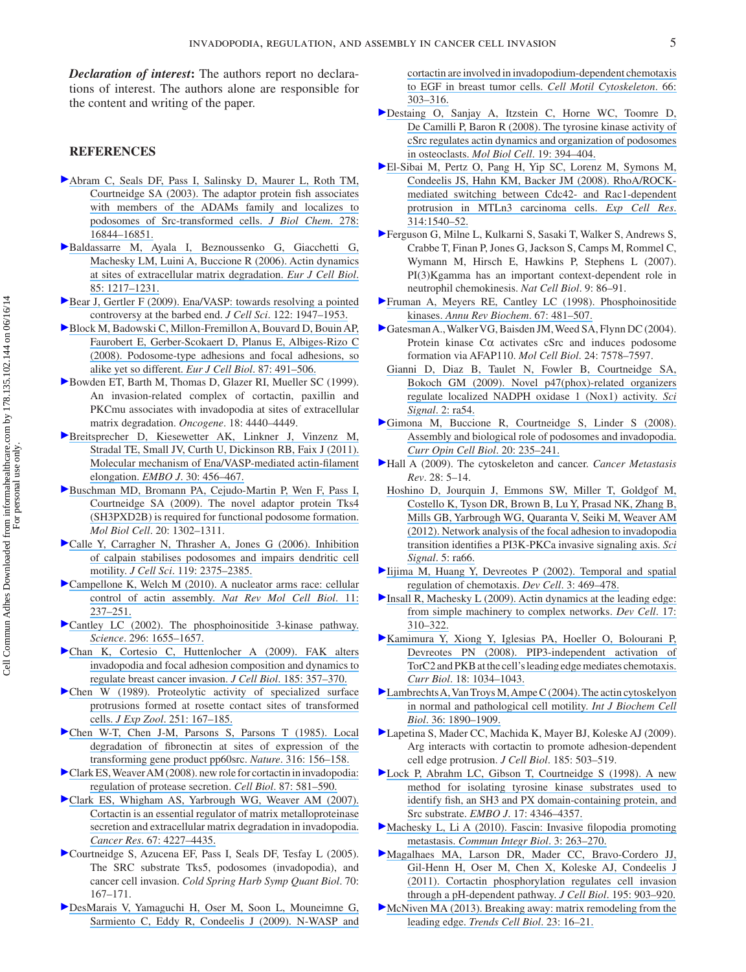*Declaration of interest*: The authors report no declarations of interest. The authors alone are responsible for the content and writing of the paper.

#### **REFERENCES**

- Abram C, Seals DF, Pass I, Salinsky D, Maurer L, Roth TM, Courtneidge SA (2003). The adaptor protein fish associates [with members of the ADAMs family and localizes to](https://www.researchgate.net/publication/10874613_The_Adaptor_Protein_Fish_Associates_with_Members_of_the_ADAMs_Family_and_Localizes_to_Podosomes_of_Src-transformed_Cells?el=1_x_8&enrichId=rgreq-ce049a8f0deb0c808c626b186b6864c0-XXX&enrichSource=Y292ZXJQYWdlOzI2MzEzMTQxNjtBUzoyMTY2MTA3NTAxMTE3NDRAMTQyODY1NTQzNTEyNA==) podosomes of Src-transformed cells. *J Biol Chem*. 278: 16844-16851.
- Baldassarre M, Ayala I, Beznoussenko G, Giacchetti G, Machesky LM, Luini A, Buccione R (2006). Actin dynamics [at sites of extracellular matrix degradation .](https://www.researchgate.net/publication/6785292_Actin_dynamics_at_sites_of_extracellular_matrix_degradation?el=1_x_8&enrichId=rgreq-ce049a8f0deb0c808c626b186b6864c0-XXX&enrichSource=Y292ZXJQYWdlOzI2MzEzMTQxNjtBUzoyMTY2MTA3NTAxMTE3NDRAMTQyODY1NTQzNTEyNA==) *Eur J Cell Biol* . 85: 1217-1231.
- Bear J, Gertler F (2009). Ena/VASP: towards resolving a pointed controversy at the barbed end. *J Cell Sci*. 122: 1947-1953.
- Block M, Badowski C, Millon-Fremillon A, Bouvard D, Bouin AP, Faurobert E, Gerber-Scokaert D, Planus E, Albiges-Rizo C  [\(2008\) . Podosome-type adhesions and focal adhesions, so](https://www.researchgate.net/publication/281354446_Podosome-type_adhesions_and_focal_adhesions_so_alike_yet_so_different?el=1_x_8&enrichId=rgreq-ce049a8f0deb0c808c626b186b6864c0-XXX&enrichSource=Y292ZXJQYWdlOzI2MzEzMTQxNjtBUzoyMTY2MTA3NTAxMTE3NDRAMTQyODY1NTQzNTEyNA==) alike yet so different. *Eur J Cell Biol*. 87: 491-506.
- Bowden ET, [B](http://informahealthcare.com/action/showLinks?crossref=10.1038%2Fsj.onc.1202827&isi=000081813500006)arth M, Thomas D, Glazer RI, Mueller SC (1999). An invasion-related complex of cortactin, paxillin and PKCmu associates with invadopodia at sites of extracellular matrix degradation. *Oncogene*. 18: 4440–4449.
- $\blacktriangleright$  Breitsprecher D, Kiesewetter AK, Linkner J, Vinzenz M, Stradal TE, Small JV, Curth U, Dickinson RB, Faix J (2011). Molecular mechanism of Ena/VASP-mediated actin-filament elongation. *EMBO J*. 30: 456-467.
- Buschman MD, Bromann PA, Cejudo-Martin P, Wen F, Pass I, Courtneidge SA (2009). The novel adaptor protein Tks4 [\(SH3PXD2B\) is required for functional podosome formation .](https://www.researchgate.net/publication/23788918_The_Novel_Adaptor_Protein_Tks4_SH3PXD2B_Is_Required_for_Functional_Podosome_Formation?el=1_x_8&enrichId=rgreq-ce049a8f0deb0c808c626b186b6864c0-XXX&enrichSource=Y292ZXJQYWdlOzI2MzEzMTQxNjtBUzoyMTY2MTA3NTAxMTE3NDRAMTQyODY1NTQzNTEyNA==) *Mol Biol Cell.* 20: 1302-1311.
- Calle Y, Carragher N, Thrasher A, Jones G (2006). Inhibition [of calpain stabilises podosomes and impairs dendritic cell](https://www.researchgate.net/publication/7058639_Inhibition_of_calpain_stabilises_podosomes_and_impairs_dendritic_cell_motility?el=1_x_8&enrichId=rgreq-ce049a8f0deb0c808c626b186b6864c0-XXX&enrichSource=Y292ZXJQYWdlOzI2MzEzMTQxNjtBUzoyMTY2MTA3NTAxMTE3NDRAMTQyODY1NTQzNTEyNA==) motility. *J Cell Sci*. 119: 2375-2385.
- Campellone K, Welch M (2010). A nucleator arms race: cellular control of actin assembly. *Nat Rev Mol Cell Biol*. 11:  $237 - 251$ .
- Cantley LC (2002). The phosphoinositide 3-kinase pathway. Science. 296: 1655-1657.
- Chan K, Cortesio C, Huttenlocher A (2009). FAK alters [invadopodia and focal adhesion composition and dynamics to](https://www.researchgate.net/publication/24276149_Chan_KT_Cortesio_CL_Huttenlocher_AFAK_alters_invadopodia_and_focal_adhesion_composition_and_dynamics_to_regulate_breast_cancer_invasion_J_Cell_Biol_185_357-370?el=1_x_8&enrichId=rgreq-ce049a8f0deb0c808c626b186b6864c0-XXX&enrichSource=Y292ZXJQYWdlOzI2MzEzMTQxNjtBUzoyMTY2MTA3NTAxMTE3NDRAMTQyODY1NTQzNTEyNA==) regulate breast cancer invasion. *J Cell Biol*. 185: 357–370.
- Chen W (1989). Proteolytic activity of specialized surface [protrusions formed at rosette contact sites of transformed](https://www.researchgate.net/publication/20607324_Chen_WT_Proteolytic_activity_of_specialized_surface_protrusions_formed_at_rosette_contact_sites_of_transformed_cells_J_Exp_Zool_251_167-185?el=1_x_8&enrichId=rgreq-ce049a8f0deb0c808c626b186b6864c0-XXX&enrichSource=Y292ZXJQYWdlOzI2MzEzMTQxNjtBUzoyMTY2MTA3NTAxMTE3NDRAMTQyODY1NTQzNTEyNA==) cells. *J Exp Zool*. 251: 167-185.
- Chen W-T, Chen J-M, Parsons S, Parsons T (1985). Local degradation of fibronectin at sites of expression of the transforming gene product pp60src. *Nature*. 316: 156–158.
- Clark ES, Weaver AM (2008). new role for cortactin in invadopodia: regulation of protease secretion. *Cell Biol*. 87: 581-590.
- Clark ES, Whigham AS, Yarbrough WG, Weaver AM (2007).  [Cortactin is an essential regulator of matrix metalloproteinase](https://www.researchgate.net/publication/6348733_Cortactin_Is_an_Essential_Regulator_of_Matrix_Metalloproteinase_Secretion_and_Extracellular_Matrix_Degradation_in_Invadopodia?el=1_x_8&enrichId=rgreq-ce049a8f0deb0c808c626b186b6864c0-XXX&enrichSource=Y292ZXJQYWdlOzI2MzEzMTQxNjtBUzoyMTY2MTA3NTAxMTE3NDRAMTQyODY1NTQzNTEyNA==) [secretion and extracellular matrix degradation in invadopodia .](https://www.researchgate.net/publication/6348733_Cortactin_Is_an_Essential_Regulator_of_Matrix_Metalloproteinase_Secretion_and_Extracellular_Matrix_Degradation_in_Invadopodia?el=1_x_8&enrichId=rgreq-ce049a8f0deb0c808c626b186b6864c0-XXX&enrichSource=Y292ZXJQYWdlOzI2MzEzMTQxNjtBUzoyMTY2MTA3NTAxMTE3NDRAMTQyODY1NTQzNTEyNA==) *Cancer Res.* 67: 4227-4435.
- Courtneidge S, Azucena EF, Pass I, Seals DF, Tesfay L (2005). The SRC substrate Tks5, podosomes (invadopodia), and cancer cell invasion. *Cold Spring Harb Symp Quant Biol*. 70:  $167 - 171.$
- DesMarais V, Yamaguchi H, Oser M, Soon L, Mouneimne G, Sarmiento C, Eddy R, Condeelis J (2009). N-WASP and

[cortactin are involved in invadopodium-dependent chemotaxis](https://www.researchgate.net/publication/24284582_N-WASP_and_Cortactin_Are_Involved_In_Invadopodium-Dependent_Chemotaxis_to_EGF_In_Breast_Tumor_Cells?el=1_x_8&enrichId=rgreq-ce049a8f0deb0c808c626b186b6864c0-XXX&enrichSource=Y292ZXJQYWdlOzI2MzEzMTQxNjtBUzoyMTY2MTA3NTAxMTE3NDRAMTQyODY1NTQzNTEyNA==)  [to EGF in breast tumor cells .](https://www.researchgate.net/publication/24284582_N-WASP_and_Cortactin_Are_Involved_In_Invadopodium-Dependent_Chemotaxis_to_EGF_In_Breast_Tumor_Cells?el=1_x_8&enrichId=rgreq-ce049a8f0deb0c808c626b186b6864c0-XXX&enrichSource=Y292ZXJQYWdlOzI2MzEzMTQxNjtBUzoyMTY2MTA3NTAxMTE3NDRAMTQyODY1NTQzNTEyNA==) *Cell Motil Cytoskeleton* . 66 :  $303 - 316$ 

- Destaing O, Sanjay A, Itzstein C, Horne WC, Toomre D, De Camilli P, Baron R (2008). The tyrosine kinase activity of [cSrc regulates actin dynamics and organization of podosomes](https://www.researchgate.net/publication/5868681_The_Tyrosine_Kinase_Activity_of_c-Src_Regulates_Actin_Dynamics_and_Organization_of_Podosomes_in_Osteoclasts?el=1_x_8&enrichId=rgreq-ce049a8f0deb0c808c626b186b6864c0-XXX&enrichSource=Y292ZXJQYWdlOzI2MzEzMTQxNjtBUzoyMTY2MTA3NTAxMTE3NDRAMTQyODY1NTQzNTEyNA==)  in osteoclasts. *Mol Biol Cell*. 19: 394-404.
- El-Sibai M, Pertz O, Pang H, Yip SC, Lorenz M, Symons M, Condeelis JS, Hahn KM, Backer JM (2008). RhoA/ROCK[mediated switching between Cdc42- and Rac1-dependent](https://www.researchgate.net/publication/5536307_RhoAROCK-mediated_switching_between_Cdc42-_and_Rac1-dependent_protrusion_in_MTLn3_carcinoma_cells?el=1_x_8&enrichId=rgreq-ce049a8f0deb0c808c626b186b6864c0-XXX&enrichSource=Y292ZXJQYWdlOzI2MzEzMTQxNjtBUzoyMTY2MTA3NTAxMTE3NDRAMTQyODY1NTQzNTEyNA==)  protrusion in MTLn3 carcinoma cells. *Exp Cell Res*. 314:1540-52.
- Ferguson G, Milne L, Kulkarni S, Sasaki T, Walker S, Andrews S, Crabbe T, Finan P, Jones G, Jackson S, Camps M, Rommel C, Wymann M, Hirsch E, Hawkins P, Stephens L (2007). PI(3)Kgamma has an important context-dependent role in neutrophil chemokinesis. *Nat Cell Biol*. 9: 86-91.
- Fruman A, Meyers RE, Cantley LC (1998). Phosphoinositide kinases. [Annu Rev Biochem](https://www.researchgate.net/publication/13525547_Phophoinositide_kinases?el=1_x_8&enrichId=rgreq-ce049a8f0deb0c808c626b186b6864c0-XXX&enrichSource=Y292ZXJQYWdlOzI2MzEzMTQxNjtBUzoyMTY2MTA3NTAxMTE3NDRAMTQyODY1NTQzNTEyNA==). 67: 481-507.
- Gatesman A., Walker VG, Baisden JM, Weed SA, Flynn DC (2004). Protein kinase  $C\alpha$  activates cSrc and induces podosome formation via AFAP110. *Mol Cell Biol*. 24: 7578-7597.
- Gianni D, Diaz B, Taulet N, Fowler B, Courtneidge SA, Bokoch GM (2009). Novel p47(phox)-related organizers regulate localized NADPH oxidase 1 (Nox1) activity. Sci *Signal* . 2: ra54.
- Gimona M, Buccione R, Courtneidge S, Linder S (2008).  [Assembly and biological role of podosomes and invadopodia .](https://www.researchgate.net/publication/5515403_Assembly_and_biological_role_of_podosomes_and_invadopodia?el=1_x_8&enrichId=rgreq-ce049a8f0deb0c808c626b186b6864c0-XXX&enrichSource=Y292ZXJQYWdlOzI2MzEzMTQxNjtBUzoyMTY2MTA3NTAxMTE3NDRAMTQyODY1NTQzNTEyNA==)  *[Curr Opin Cell Biol](https://www.researchgate.net/publication/5515403_Assembly_and_biological_role_of_podosomes_and_invadopodia?el=1_x_8&enrichId=rgreq-ce049a8f0deb0c808c626b186b6864c0-XXX&enrichSource=Y292ZXJQYWdlOzI2MzEzMTQxNjtBUzoyMTY2MTA3NTAxMTE3NDRAMTQyODY1NTQzNTEyNA==).* 20: 235-241.
- Hall A (2009) . The cytoskeleton and cancer . *Cancer Metastasis Rev.* 28: 5-14.
- Hoshino D, Jourquin J, Emmons SW, Miller T, Goldgof M, Costello K, Tyson DR, Brown B, Lu Y, Prasad NK, Zhang B, Mills GB, Yarbrough WG, Quaranta V, Seiki M, Weaver AM  [\(2012\) . Network analysis of the focal adhesion to invadopodia](https://www.researchgate.net/publication/230833561_Network_Analysis_of_the_Focal_Adhesion_to_Invadopodia_Transition_Identifies_a_PI3K-PKC_Invasive_Signaling_Axis?el=1_x_8&enrichId=rgreq-ce049a8f0deb0c808c626b186b6864c0-XXX&enrichSource=Y292ZXJQYWdlOzI2MzEzMTQxNjtBUzoyMTY2MTA3NTAxMTE3NDRAMTQyODY1NTQzNTEyNA==)  transition identifies a PI3K-PKCa invasive signaling axis. Sci *Signal*. 5: ra66.
- $\blacktriangleright$  Iijima M, Huang Y, Devreotes P (2002). Temporal and spatial regulation of chemotaxis. *Dev Cell*. 3: 469-478.
- Insall R, Machesky L (2009). Actin dynamics at the leading edge: from simple machinery to complex networks. *Dev Cell*. 17: 310 – 322
- Kamimura Y, Xiong Y, Iglesias PA, Hoeller O, Bolourani P, Devreotes PN (2008). PIP3-independent activation of TorC2 and PKB at the cell's leading edge mediates chemotaxis. *Curr Biol.* 18: 1034–1043.
- $\blacktriangleright$  Lambrechts A, Van Troys M, Ampe C (2004). The actin cytoskelyon in normal and pathological cell motility. *Int J Biochem Cell Biol.* 36: 1890-1909.
- Lapetina S, Mader CC, Machida K, Mayer BJ, Koleske AJ (2009). Arg interacts with cortactin to promote adhesion-dependent cell edge protrusion. *J Cell Biol*. 185: 503–519.
- Lock P, Abrahm LC, Gibson T, Courtneidge S (1998). A new [method for isolating tyrosine kinase substrates used to](https://www.researchgate.net/publication/13596725_A_new_method_for_isolating_tyrosine_kinase_substrates_used_to_identify_Fish_an_SH3_and_PX_domain-containing_protein_and_Src_substrate?el=1_x_8&enrichId=rgreq-ce049a8f0deb0c808c626b186b6864c0-XXX&enrichSource=Y292ZXJQYWdlOzI2MzEzMTQxNjtBUzoyMTY2MTA3NTAxMTE3NDRAMTQyODY1NTQzNTEyNA==)  identify fish, an SH3 and PX domain-containing protein, and Src substrate. *EMBO J*. 17: 4346-4357.
- Machesky L, Li A (2010). Fascin: Invasive filopodia promoting metastasis. [Commun Integr Biol](https://www.researchgate.net/publication/45660690_Fascin_Invasive_filopodia_promoting_metastasis?el=1_x_8&enrichId=rgreq-ce049a8f0deb0c808c626b186b6864c0-XXX&enrichSource=Y292ZXJQYWdlOzI2MzEzMTQxNjtBUzoyMTY2MTA3NTAxMTE3NDRAMTQyODY1NTQzNTEyNA==). 3: 263-270.
- Magalhaes MA, Larson DR, Mader CC, Bravo-Cordero JJ, Gil-Henn H, Oser M, Chen X, Koleske AJ, Condeelis J [\(2011\) . Cortactin phosphorylation regulates cell invasion](https://www.researchgate.net/publication/51820016_Cortactin_phosphorylation_regulates_cell_invasion_through_a_pH-dependent_pathway?el=1_x_8&enrichId=rgreq-ce049a8f0deb0c808c626b186b6864c0-XXX&enrichSource=Y292ZXJQYWdlOzI2MzEzMTQxNjtBUzoyMTY2MTA3NTAxMTE3NDRAMTQyODY1NTQzNTEyNA==)  through a pH-dependent pathway. *J Cell Biol*. 195: 903-920.
- McNiven MA (2013). Breaking away: matrix remodeling from the leading edge. [Trends Cell Biol](https://www.researchgate.net/publication/271614963_Breaking_away_Matrix_remodeling_from_the_leading_edge?el=1_x_8&enrichId=rgreq-ce049a8f0deb0c808c626b186b6864c0-XXX&enrichSource=Y292ZXJQYWdlOzI2MzEzMTQxNjtBUzoyMTY2MTA3NTAxMTE3NDRAMTQyODY1NTQzNTEyNA==). 23: 16-21.